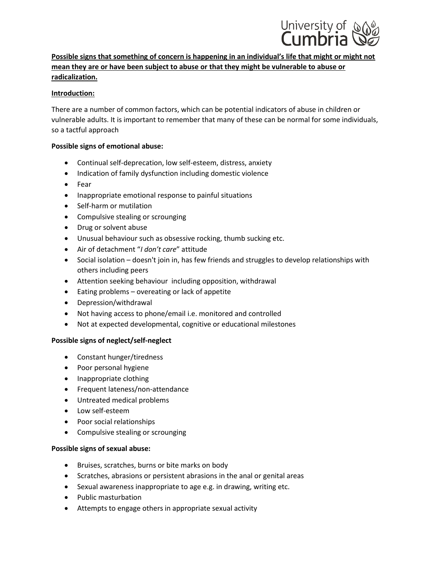

# **Possible signs that something of concern is happening in an individual's life that might or might not mean they are or have been subject to abuse or that they might be vulnerable to abuse or radicalization.**

## **Introduction:**

There are a number of common factors, which can be potential indicators of abuse in children or vulnerable adults. It is important to remember that many of these can be normal for some individuals, so a tactful approach

## **Possible signs of emotional abuse:**

- Continual self-deprecation, low self-esteem, distress, anxiety
- Indication of family dysfunction including domestic violence
- Fear
- Inappropriate emotional response to painful situations
- Self-harm or mutilation
- Compulsive stealing or scrounging
- Drug or solvent abuse
- Unusual behaviour such as obsessive rocking, thumb sucking etc.
- Air of detachment "*I don't care*" attitude
- Social isolation doesn't join in, has few friends and struggles to develop relationships with others including peers
- Attention seeking behaviour including opposition, withdrawal
- Eating problems overeating or lack of appetite
- Depression/withdrawal
- Not having access to phone/email i.e. monitored and controlled
- Not at expected developmental, cognitive or educational milestones

#### **Possible signs of neglect/self-neglect**

- Constant hunger/tiredness
- Poor personal hygiene
- Inappropriate clothing
- Frequent lateness/non-attendance
- Untreated medical problems
- Low self-esteem
- Poor social relationships
- Compulsive stealing or scrounging

#### **Possible signs of sexual abuse:**

- Bruises, scratches, burns or bite marks on body
- Scratches, abrasions or persistent abrasions in the anal or genital areas
- Sexual awareness inappropriate to age e.g. in drawing, writing etc.
- Public masturbation
- Attempts to engage others in appropriate sexual activity